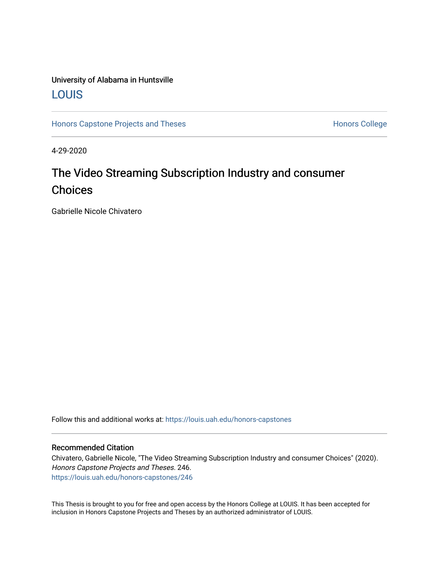# University of Alabama in Huntsville [LOUIS](https://louis.uah.edu/)

[Honors Capstone Projects and Theses](https://louis.uah.edu/honors-capstones) **Honors College** Honors College

4-29-2020

# The Video Streaming Subscription Industry and consumer Choices

Gabrielle Nicole Chivatero

Follow this and additional works at: [https://louis.uah.edu/honors-capstones](https://louis.uah.edu/honors-capstones?utm_source=louis.uah.edu%2Fhonors-capstones%2F246&utm_medium=PDF&utm_campaign=PDFCoverPages) 

#### Recommended Citation

Chivatero, Gabrielle Nicole, "The Video Streaming Subscription Industry and consumer Choices" (2020). Honors Capstone Projects and Theses. 246. [https://louis.uah.edu/honors-capstones/246](https://louis.uah.edu/honors-capstones/246?utm_source=louis.uah.edu%2Fhonors-capstones%2F246&utm_medium=PDF&utm_campaign=PDFCoverPages) 

This Thesis is brought to you for free and open access by the Honors College at LOUIS. It has been accepted for inclusion in Honors Capstone Projects and Theses by an authorized administrator of LOUIS.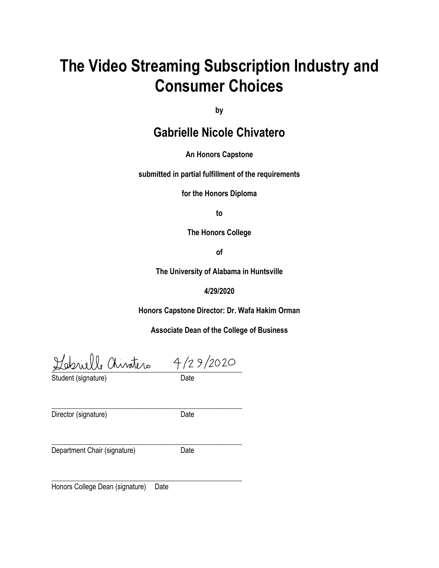# **The Video Streaming Subscription Industry and Consumer Choices**

**by**

# **Gabrielle Nicole Chivatero**

**An Honors Capstone**

**submitted in partial fulfillment of the requirements** 

**for the Honors Diploma**

**to** 

**The Honors College** 

**of** 

**The University of Alabama in Huntsville**

#### **4/29/2020**

**Honors Capstone Director: Dr. Wafa Hakim Orman**

**Associate Dean of the College of Business**

 $\frac{1127222}{1127222}$ 

\_\_\_\_\_\_\_\_\_\_\_\_\_\_\_\_\_\_\_\_\_\_\_\_\_\_\_\_\_\_\_\_\_\_\_\_\_\_\_\_\_\_\_\_\_\_\_\_\_\_\_\_\_

\_\_\_\_\_\_\_\_\_\_\_\_\_\_\_\_\_\_\_\_\_\_\_\_\_\_\_\_\_\_\_\_\_\_\_\_\_\_\_\_\_\_\_\_\_\_\_\_\_\_\_\_\_

Student (signature) and Date

\_\_\_\_\_\_\_\_\_\_\_\_\_\_\_\_\_\_\_\_\_\_\_\_\_\_\_\_\_\_\_\_\_\_\_\_\_\_\_\_\_\_\_\_\_\_\_\_\_\_\_\_\_ Director (signature) Date

Department Chair (signature) Date

Honors College Dean (signature) Date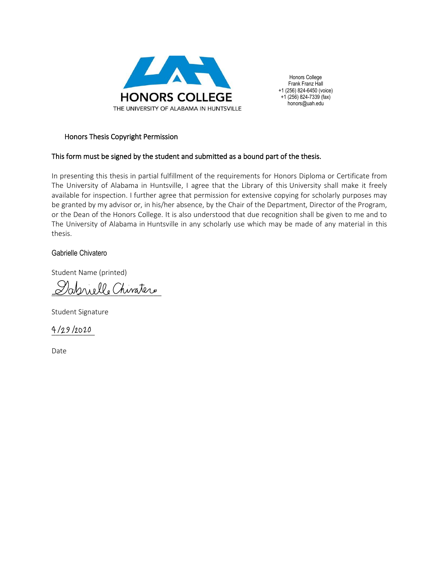

Honors College Frank Franz Hall +1 (256) 824-6450 (voice)  $+1$  (256) 824-7339 (fax) honors@uah.edu

#### Honors Thesis Copyright Permission

#### This form must be signed by the student and submitted as a bound part of the thesis.

In presenting this thesis in partial fulfillment of the requirements for Honors Diploma or Certificate from The University of Alabama in Huntsville, I agree that the Library of this University shall make it freely available for inspection. I further agree that permission for extensive copying for scholarly purposes may be granted by my advisor or, in his/her absence, by the Chair of the Department, Director of the Program, or the Dean of the Honors College. It is also understood that due recognition shall be given to me and to The University of Alabama in Huntsville in any scholarly use which may be made of any material in this thesis.

#### Gabrielle Chivatero

Student Name (printed)

\_\_\_\_\_\_\_\_\_\_\_\_\_\_\_\_\_\_\_\_\_\_\_\_\_\_\_\_

Student Signature

4/29/2020

Date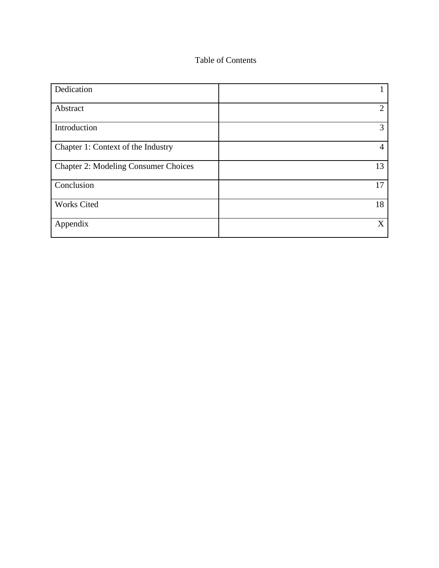### Table of Contents

| Dedication                                  |                             |
|---------------------------------------------|-----------------------------|
| Abstract                                    | $\mathcal{D}_{\mathcal{L}}$ |
| Introduction                                | 3                           |
| Chapter 1: Context of the Industry          | 4                           |
| <b>Chapter 2: Modeling Consumer Choices</b> | 13                          |
| Conclusion                                  | 17                          |
| <b>Works Cited</b>                          | 18                          |
| Appendix                                    | X                           |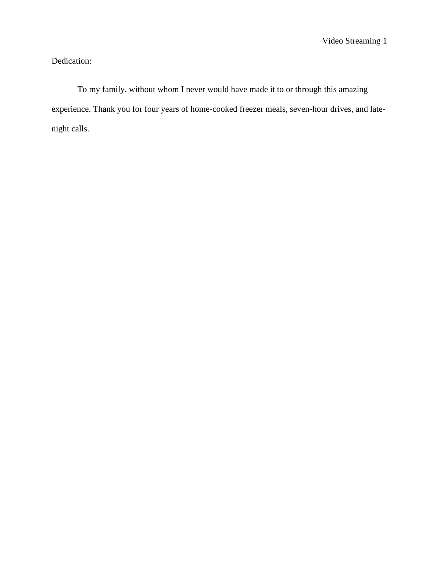# Dedication:

To my family, without whom I never would have made it to or through this amazing experience. Thank you for four years of home-cooked freezer meals, seven-hour drives, and latenight calls.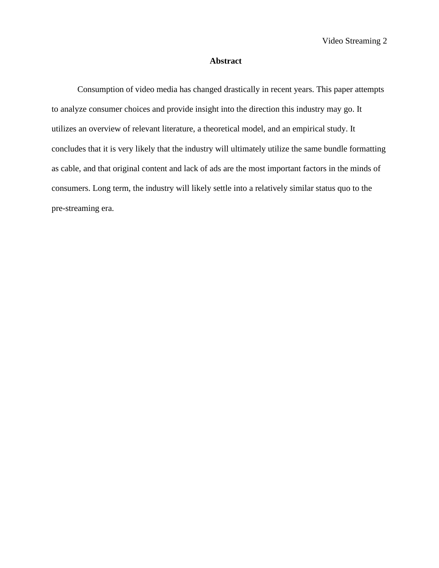#### **Abstract**

Consumption of video media has changed drastically in recent years. This paper attempts to analyze consumer choices and provide insight into the direction this industry may go. It utilizes an overview of relevant literature, a theoretical model, and an empirical study. It concludes that it is very likely that the industry will ultimately utilize the same bundle formatting as cable, and that original content and lack of ads are the most important factors in the minds of consumers. Long term, the industry will likely settle into a relatively similar status quo to the pre-streaming era.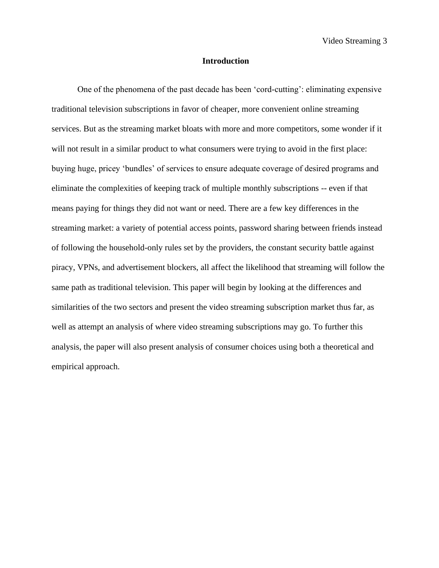#### **Introduction**

One of the phenomena of the past decade has been 'cord-cutting': eliminating expensive traditional television subscriptions in favor of cheaper, more convenient online streaming services. But as the streaming market bloats with more and more competitors, some wonder if it will not result in a similar product to what consumers were trying to avoid in the first place: buying huge, pricey 'bundles' of services to ensure adequate coverage of desired programs and eliminate the complexities of keeping track of multiple monthly subscriptions -- even if that means paying for things they did not want or need. There are a few key differences in the streaming market: a variety of potential access points, password sharing between friends instead of following the household-only rules set by the providers, the constant security battle against piracy, VPNs, and advertisement blockers, all affect the likelihood that streaming will follow the same path as traditional television. This paper will begin by looking at the differences and similarities of the two sectors and present the video streaming subscription market thus far, as well as attempt an analysis of where video streaming subscriptions may go. To further this analysis, the paper will also present analysis of consumer choices using both a theoretical and empirical approach.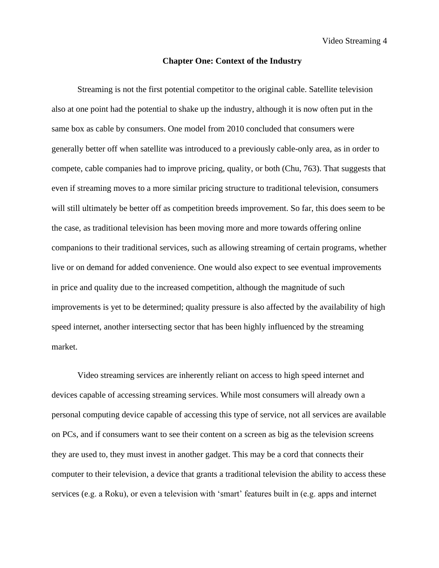Video Streaming 4

#### **Chapter One: Context of the Industry**

Streaming is not the first potential competitor to the original cable. Satellite television also at one point had the potential to shake up the industry, although it is now often put in the same box as cable by consumers. One model from 2010 concluded that consumers were generally better off when satellite was introduced to a previously cable-only area, as in order to compete, cable companies had to improve pricing, quality, or both (Chu, 763). That suggests that even if streaming moves to a more similar pricing structure to traditional television, consumers will still ultimately be better off as competition breeds improvement. So far, this does seem to be the case, as traditional television has been moving more and more towards offering online companions to their traditional services, such as allowing streaming of certain programs, whether live or on demand for added convenience. One would also expect to see eventual improvements in price and quality due to the increased competition, although the magnitude of such improvements is yet to be determined; quality pressure is also affected by the availability of high speed internet, another intersecting sector that has been highly influenced by the streaming market.

Video streaming services are inherently reliant on access to high speed internet and devices capable of accessing streaming services. While most consumers will already own a personal computing device capable of accessing this type of service, not all services are available on PCs, and if consumers want to see their content on a screen as big as the television screens they are used to, they must invest in another gadget. This may be a cord that connects their computer to their television, a device that grants a traditional television the ability to access these services (e.g. a Roku), or even a television with 'smart' features built in (e.g. apps and internet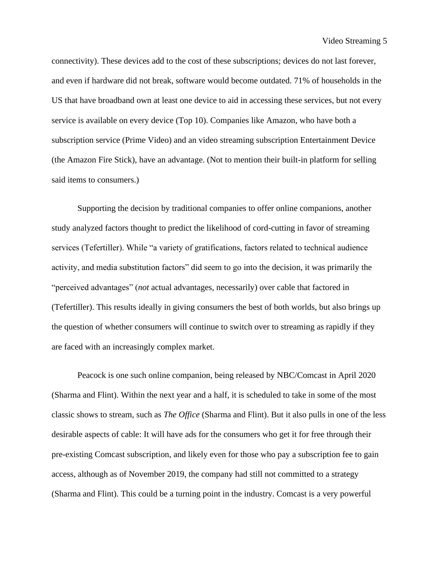connectivity). These devices add to the cost of these subscriptions; devices do not last forever, and even if hardware did not break, software would become outdated. 71% of households in the US that have broadband own at least one device to aid in accessing these services, but not every service is available on every device (Top 10). Companies like Amazon, who have both a subscription service (Prime Video) and an video streaming subscription Entertainment Device (the Amazon Fire Stick), have an advantage. (Not to mention their built-in platform for selling said items to consumers.)

Supporting the decision by traditional companies to offer online companions, another study analyzed factors thought to predict the likelihood of cord-cutting in favor of streaming services (Tefertiller). While "a variety of gratifications, factors related to technical audience activity, and media substitution factors" did seem to go into the decision, it was primarily the "perceived advantages" (*not* actual advantages, necessarily) over cable that factored in (Tefertiller). This results ideally in giving consumers the best of both worlds, but also brings up the question of whether consumers will continue to switch over to streaming as rapidly if they are faced with an increasingly complex market.

Peacock is one such online companion, being released by NBC/Comcast in April 2020 (Sharma and Flint). Within the next year and a half, it is scheduled to take in some of the most classic shows to stream, such as *The Office* (Sharma and Flint). But it also pulls in one of the less desirable aspects of cable: It will have ads for the consumers who get it for free through their pre-existing Comcast subscription, and likely even for those who pay a subscription fee to gain access, although as of November 2019, the company had still not committed to a strategy (Sharma and Flint). This could be a turning point in the industry. Comcast is a very powerful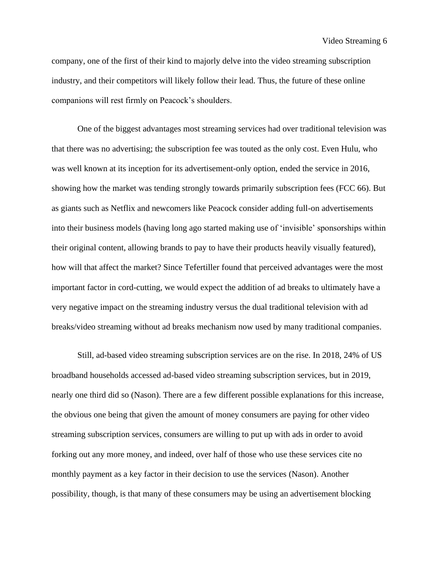Video Streaming 6

company, one of the first of their kind to majorly delve into the video streaming subscription industry, and their competitors will likely follow their lead. Thus, the future of these online companions will rest firmly on Peacock's shoulders.

One of the biggest advantages most streaming services had over traditional television was that there was no advertising; the subscription fee was touted as the only cost. Even Hulu, who was well known at its inception for its advertisement-only option, ended the service in 2016, showing how the market was tending strongly towards primarily subscription fees (FCC 66). But as giants such as Netflix and newcomers like Peacock consider adding full-on advertisements into their business models (having long ago started making use of 'invisible' sponsorships within their original content, allowing brands to pay to have their products heavily visually featured), how will that affect the market? Since Tefertiller found that perceived advantages were the most important factor in cord-cutting, we would expect the addition of ad breaks to ultimately have a very negative impact on the streaming industry versus the dual traditional television with ad breaks/video streaming without ad breaks mechanism now used by many traditional companies.

Still, ad-based video streaming subscription services are on the rise. In 2018, 24% of US broadband households accessed ad-based video streaming subscription services, but in 2019, nearly one third did so (Nason). There are a few different possible explanations for this increase, the obvious one being that given the amount of money consumers are paying for other video streaming subscription services, consumers are willing to put up with ads in order to avoid forking out any more money, and indeed, over half of those who use these services cite no monthly payment as a key factor in their decision to use the services (Nason). Another possibility, though, is that many of these consumers may be using an advertisement blocking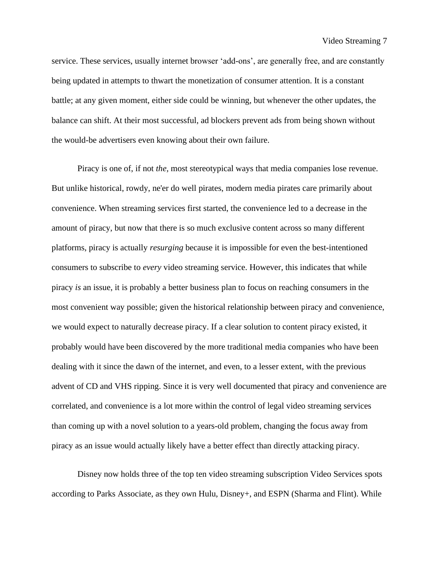service. These services, usually internet browser 'add-ons', are generally free, and are constantly being updated in attempts to thwart the monetization of consumer attention. It is a constant battle; at any given moment, either side could be winning, but whenever the other updates, the balance can shift. At their most successful, ad blockers prevent ads from being shown without the would-be advertisers even knowing about their own failure.

Piracy is one of, if not *the,* most stereotypical ways that media companies lose revenue. But unlike historical, rowdy, ne'er do well pirates, modern media pirates care primarily about convenience. When streaming services first started, the convenience led to a decrease in the amount of piracy, but now that there is so much exclusive content across so many different platforms, piracy is actually *resurging* because it is impossible for even the best-intentioned consumers to subscribe to *every* video streaming service. However, this indicates that while piracy *is* an issue, it is probably a better business plan to focus on reaching consumers in the most convenient way possible; given the historical relationship between piracy and convenience, we would expect to naturally decrease piracy. If a clear solution to content piracy existed, it probably would have been discovered by the more traditional media companies who have been dealing with it since the dawn of the internet, and even, to a lesser extent, with the previous advent of CD and VHS ripping. Since it is very well documented that piracy and convenience are correlated, and convenience is a lot more within the control of legal video streaming services than coming up with a novel solution to a years-old problem, changing the focus away from piracy as an issue would actually likely have a better effect than directly attacking piracy.

Disney now holds three of the top ten video streaming subscription Video Services spots according to Parks Associate, as they own Hulu, Disney+, and ESPN (Sharma and Flint). While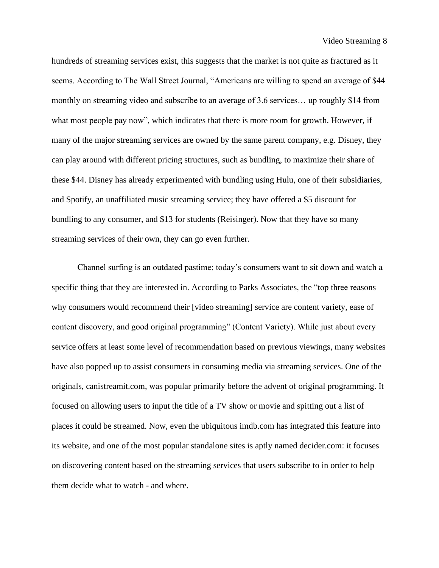Video Streaming 8

hundreds of streaming services exist, this suggests that the market is not quite as fractured as it seems. According to The Wall Street Journal, "Americans are willing to spend an average of \$44 monthly on streaming video and subscribe to an average of 3.6 services… up roughly \$14 from what most people pay now", which indicates that there is more room for growth. However, if many of the major streaming services are owned by the same parent company, e.g. Disney, they can play around with different pricing structures, such as bundling, to maximize their share of these \$44. Disney has already experimented with bundling using Hulu, one of their subsidiaries, and Spotify, an unaffiliated music streaming service; they have offered a \$5 discount for bundling to any consumer, and \$13 for students (Reisinger). Now that they have so many streaming services of their own, they can go even further.

Channel surfing is an outdated pastime; today's consumers want to sit down and watch a specific thing that they are interested in. According to Parks Associates, the "top three reasons why consumers would recommend their [video streaming] service are content variety, ease of content discovery, and good original programming" (Content Variety). While just about every service offers at least some level of recommendation based on previous viewings, many websites have also popped up to assist consumers in consuming media via streaming services. One of the originals, canistreamit.com, was popular primarily before the advent of original programming. It focused on allowing users to input the title of a TV show or movie and spitting out a list of places it could be streamed. Now, even the ubiquitous imdb.com has integrated this feature into its website, and one of the most popular standalone sites is aptly named decider.com: it focuses on discovering content based on the streaming services that users subscribe to in order to help them decide what to watch - and where.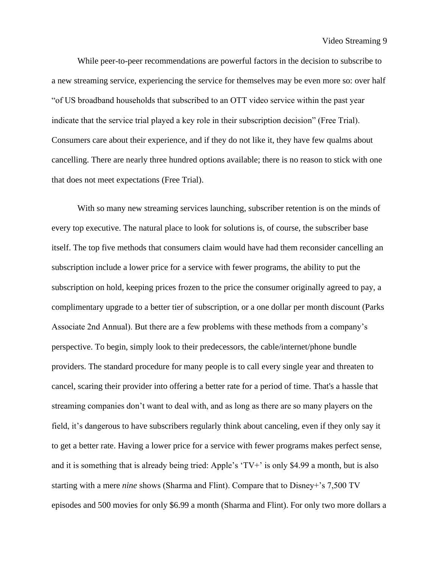Video Streaming 9

While peer-to-peer recommendations are powerful factors in the decision to subscribe to a new streaming service, experiencing the service for themselves may be even more so: over half "of US broadband households that subscribed to an OTT video service within the past year indicate that the service trial played a key role in their subscription decision" (Free Trial). Consumers care about their experience, and if they do not like it, they have few qualms about cancelling. There are nearly three hundred options available; there is no reason to stick with one that does not meet expectations (Free Trial).

With so many new streaming services launching, subscriber retention is on the minds of every top executive. The natural place to look for solutions is, of course, the subscriber base itself. The top five methods that consumers claim would have had them reconsider cancelling an subscription include a lower price for a service with fewer programs, the ability to put the subscription on hold, keeping prices frozen to the price the consumer originally agreed to pay, a complimentary upgrade to a better tier of subscription, or a one dollar per month discount (Parks Associate 2nd Annual). But there are a few problems with these methods from a company's perspective. To begin, simply look to their predecessors, the cable/internet/phone bundle providers. The standard procedure for many people is to call every single year and threaten to cancel, scaring their provider into offering a better rate for a period of time. That's a hassle that streaming companies don't want to deal with, and as long as there are so many players on the field, it's dangerous to have subscribers regularly think about canceling, even if they only say it to get a better rate. Having a lower price for a service with fewer programs makes perfect sense, and it is something that is already being tried: Apple's 'TV+' is only \$4.99 a month, but is also starting with a mere *nine* shows (Sharma and Flint). Compare that to Disney+'s 7,500 TV episodes and 500 movies for only \$6.99 a month (Sharma and Flint). For only two more dollars a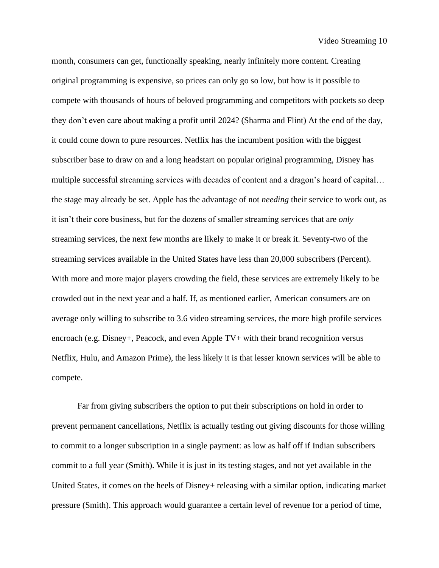month, consumers can get, functionally speaking, nearly infinitely more content. Creating original programming is expensive, so prices can only go so low, but how is it possible to compete with thousands of hours of beloved programming and competitors with pockets so deep they don't even care about making a profit until 2024? (Sharma and Flint) At the end of the day, it could come down to pure resources. Netflix has the incumbent position with the biggest subscriber base to draw on and a long headstart on popular original programming, Disney has multiple successful streaming services with decades of content and a dragon's hoard of capital… the stage may already be set. Apple has the advantage of not *needing* their service to work out, as it isn't their core business, but for the dozens of smaller streaming services that are *only* streaming services, the next few months are likely to make it or break it. Seventy-two of the streaming services available in the United States have less than 20,000 subscribers (Percent). With more and more major players crowding the field, these services are extremely likely to be crowded out in the next year and a half. If, as mentioned earlier, American consumers are on average only willing to subscribe to 3.6 video streaming services, the more high profile services encroach (e.g. Disney+, Peacock, and even Apple TV+ with their brand recognition versus Netflix, Hulu, and Amazon Prime), the less likely it is that lesser known services will be able to compete.

Far from giving subscribers the option to put their subscriptions on hold in order to prevent permanent cancellations, Netflix is actually testing out giving discounts for those willing to commit to a longer subscription in a single payment: as low as half off if Indian subscribers commit to a full year (Smith). While it is just in its testing stages, and not yet available in the United States, it comes on the heels of Disney+ releasing with a similar option, indicating market pressure (Smith). This approach would guarantee a certain level of revenue for a period of time,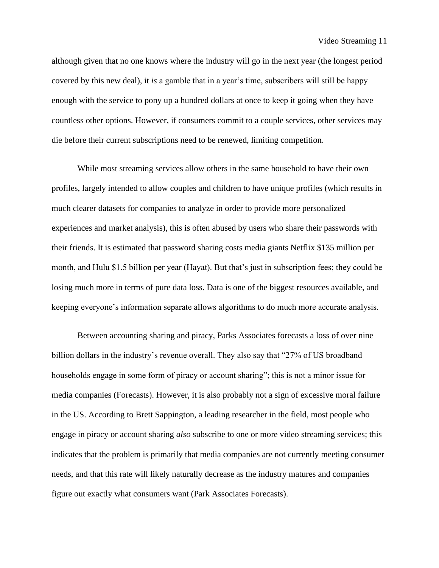although given that no one knows where the industry will go in the next year (the longest period covered by this new deal), it *is* a gamble that in a year's time, subscribers will still be happy enough with the service to pony up a hundred dollars at once to keep it going when they have countless other options. However, if consumers commit to a couple services, other services may die before their current subscriptions need to be renewed, limiting competition.

While most streaming services allow others in the same household to have their own profiles, largely intended to allow couples and children to have unique profiles (which results in much clearer datasets for companies to analyze in order to provide more personalized experiences and market analysis), this is often abused by users who share their passwords with their friends. It is estimated that password sharing costs media giants Netflix \$135 million per month, and Hulu \$1.5 billion per year (Hayat). But that's just in subscription fees; they could be losing much more in terms of pure data loss. Data is one of the biggest resources available, and keeping everyone's information separate allows algorithms to do much more accurate analysis.

Between accounting sharing and piracy, Parks Associates forecasts a loss of over nine billion dollars in the industry's revenue overall. They also say that "27% of US broadband households engage in some form of piracy or account sharing"; this is not a minor issue for media companies (Forecasts). However, it is also probably not a sign of excessive moral failure in the US. According to Brett Sappington, a leading researcher in the field, most people who engage in piracy or account sharing *also* subscribe to one or more video streaming services; this indicates that the problem is primarily that media companies are not currently meeting consumer needs, and that this rate will likely naturally decrease as the industry matures and companies figure out exactly what consumers want (Park Associates Forecasts).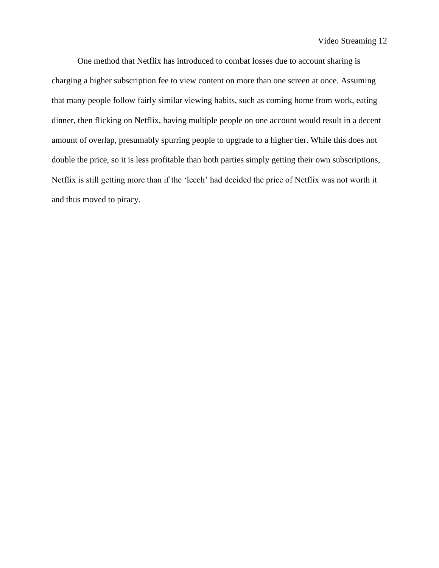One method that Netflix has introduced to combat losses due to account sharing is charging a higher subscription fee to view content on more than one screen at once. Assuming that many people follow fairly similar viewing habits, such as coming home from work, eating dinner, then flicking on Netflix, having multiple people on one account would result in a decent amount of overlap, presumably spurring people to upgrade to a higher tier. While this does not double the price, so it is less profitable than both parties simply getting their own subscriptions, Netflix is still getting more than if the 'leech' had decided the price of Netflix was not worth it and thus moved to piracy.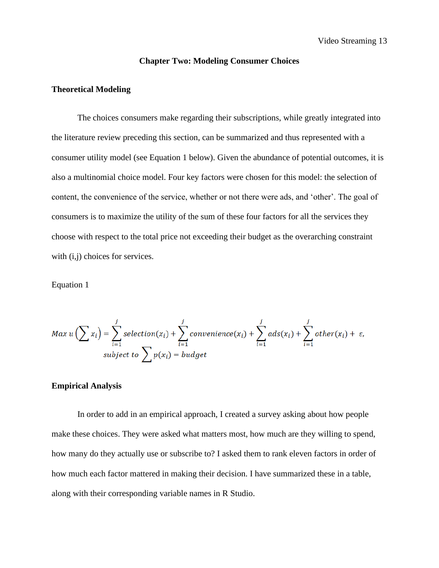#### **Chapter Two: Modeling Consumer Choices**

#### **Theoretical Modeling**

The choices consumers make regarding their subscriptions, while greatly integrated into the literature review preceding this section, can be summarized and thus represented with a consumer utility model (see Equation 1 below). Given the abundance of potential outcomes, it is also a multinomial choice model. Four key factors were chosen for this model: the selection of content, the convenience of the service, whether or not there were ads, and 'other'. The goal of consumers is to maximize the utility of the sum of these four factors for all the services they choose with respect to the total price not exceeding their budget as the overarching constraint with  $(i,j)$  choices for services.

Equation 1

$$
Max\ u\left(\sum x_i\right) = \sum_{i=1}^j selection(x_i) + \sum_{i=1}^j convenient(c(x_i) + \sum_{i=1}^jads(x_i) + \sum_{i=1}^jother(x_i) + \varepsilon,
$$
  
subject to 
$$
\sum p(x_i) = budget
$$

#### **Empirical Analysis**

In order to add in an empirical approach, I created a survey asking about how people make these choices. They were asked what matters most, how much are they willing to spend, how many do they actually use or subscribe to? I asked them to rank eleven factors in order of how much each factor mattered in making their decision. I have summarized these in a table, along with their corresponding variable names in R Studio.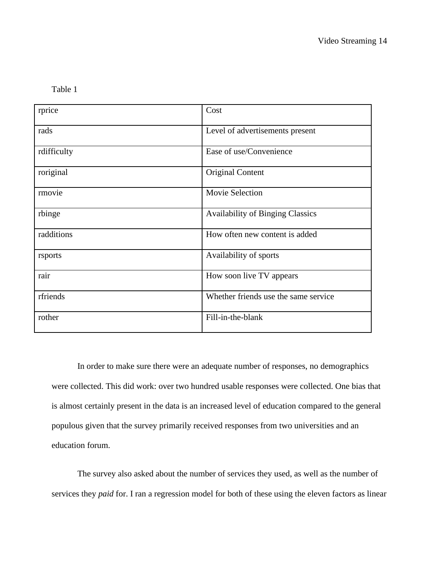Table 1

| rprice      | Cost                                    |
|-------------|-----------------------------------------|
| rads        | Level of advertisements present         |
| rdifficulty | Ease of use/Convenience                 |
| roriginal   | <b>Original Content</b>                 |
| rmovie      | Movie Selection                         |
| rbinge      | <b>Availability of Binging Classics</b> |
| radditions  | How often new content is added          |
| rsports     | Availability of sports                  |
| rair        | How soon live TV appears                |
| rfriends    | Whether friends use the same service    |
| rother      | Fill-in-the-blank                       |

In order to make sure there were an adequate number of responses, no demographics were collected. This did work: over two hundred usable responses were collected. One bias that is almost certainly present in the data is an increased level of education compared to the general populous given that the survey primarily received responses from two universities and an education forum.

The survey also asked about the number of services they used, as well as the number of services they *paid* for. I ran a regression model for both of these using the eleven factors as linear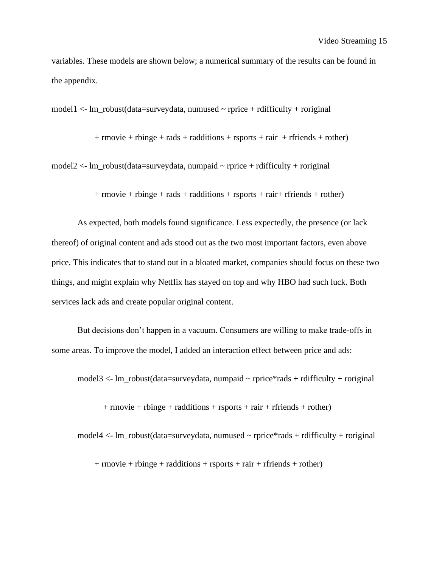variables. These models are shown below; a numerical summary of the results can be found in the appendix.

model1 <- lm\_robust(data=surveydata, numused ~ rprice + rdifficulty + roriginal

 $+$  rmovie  $+$  rbinge  $+$  rads  $+$  radditions  $+$  rsports  $+$  rair  $+$  rfriends  $+$  rother)

model2  $\lt$ - lm\_robust(data=surveydata, numpaid  $\sim$  rprice + rdifficulty + roriginal

 $+$  rmovie  $+$  rbinge  $+$  rads  $+$  radditions  $+$  rsports  $+$  rair $+$  rfriends  $+$  rother)

As expected, both models found significance. Less expectedly, the presence (or lack thereof) of original content and ads stood out as the two most important factors, even above price. This indicates that to stand out in a bloated market, companies should focus on these two things, and might explain why Netflix has stayed on top and why HBO had such luck. Both services lack ads and create popular original content.

But decisions don't happen in a vacuum. Consumers are willing to make trade-offs in some areas. To improve the model, I added an interaction effect between price and ads:

model3 <- lm\_robust(data=surveydata, numpaid ~ rprice\*rads + rdifficulty + roriginal

 $+$  rmovie + rbinge + radditions + rsports + rair + rfriends + rother)

model4  $\lt$ - lm\_robust(data=surveydata, numused  $\sim$  rprice\*rads + rdifficulty + roriginal

 $+$  rmovie  $+$  rbinge  $+$  radditions  $+$  rsports  $+$  rair  $+$  rfriends  $+$  rother)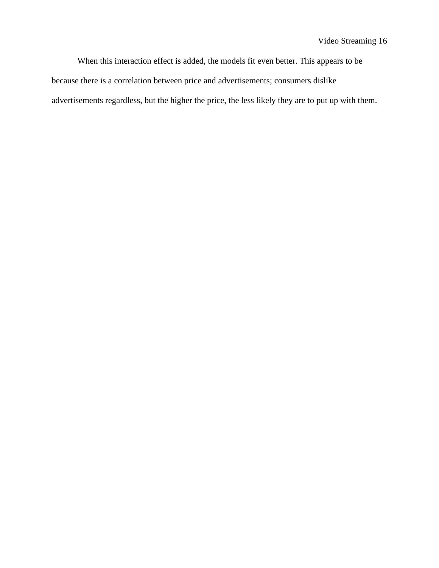When this interaction effect is added, the models fit even better. This appears to be because there is a correlation between price and advertisements; consumers dislike advertisements regardless, but the higher the price, the less likely they are to put up with them.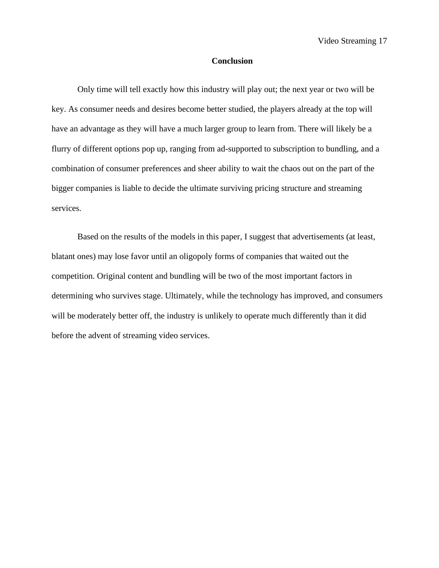#### **Conclusion**

Only time will tell exactly how this industry will play out; the next year or two will be key. As consumer needs and desires become better studied, the players already at the top will have an advantage as they will have a much larger group to learn from. There will likely be a flurry of different options pop up, ranging from ad-supported to subscription to bundling, and a combination of consumer preferences and sheer ability to wait the chaos out on the part of the bigger companies is liable to decide the ultimate surviving pricing structure and streaming services.

Based on the results of the models in this paper, I suggest that advertisements (at least, blatant ones) may lose favor until an oligopoly forms of companies that waited out the competition. Original content and bundling will be two of the most important factors in determining who survives stage. Ultimately, while the technology has improved, and consumers will be moderately better off, the industry is unlikely to operate much differently than it did before the advent of streaming video services.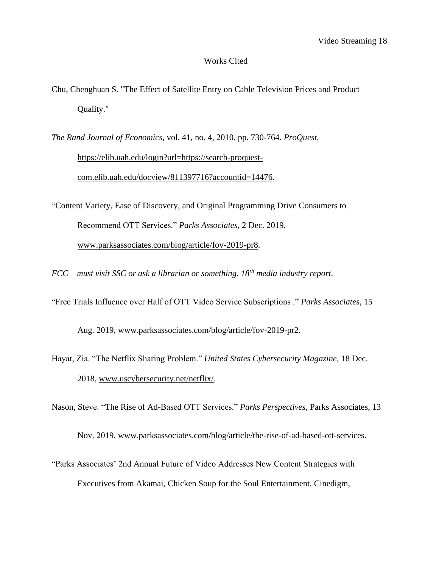#### Works Cited

- Chu, Chenghuan S. "The Effect of Satellite Entry on Cable Television Prices and Product Quality."
- *The Rand Journal of Economics*, vol. 41, no. 4, 2010, pp. 730-764*. ProQuest*, [https://elib.uah.edu/login?url=https://search-proquest](https://elib.uah.edu/login?url=https://search-proquest-com.elib.uah.edu/docview/811397716?accountid=14476)[com.elib.uah.edu/docview/811397716?accountid=14476.](https://elib.uah.edu/login?url=https://search-proquest-com.elib.uah.edu/docview/811397716?accountid=14476)
- "Content Variety, Ease of Discovery, and Original Programming Drive Consumers to Recommend OTT Services." *Parks Associates*, 2 Dec. 2019, [www.parksassociates.com/blog/article/fov-2019-pr8.](http://www.parksassociates.com/blog/article/fov-2019-pr8)
- *FCC – must visit SSC or ask a librarian or something. 18th media industry report.*
- "Free Trials Influence over Half of OTT Video Service Subscriptions ." *Parks Associates*, 15

Aug. 2019, www.parksassociates.com/blog/article/fov-2019-pr2.

Hayat, Zia. "The Netflix Sharing Problem." *United States Cybersecurity Magazine*, 18 Dec. 2018, [www.uscybersecurity.net/netflix/.](http://www.uscybersecurity.net/netflix/)

Nason, Steve. "The Rise of Ad-Based OTT Services." *Parks Perspectives*, Parks Associates, 13

Nov. 2019, www.parksassociates.com/blog/article/the-rise-of-ad-based-ott-services.

"Parks Associates' 2nd Annual Future of Video Addresses New Content Strategies with Executives from Akamai, Chicken Soup for the Soul Entertainment, Cinedigm,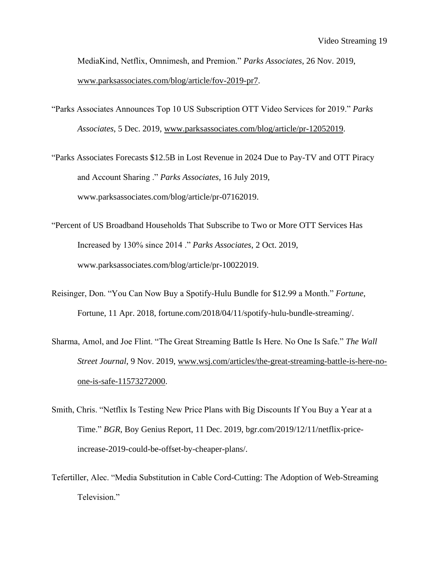MediaKind, Netflix, Omnimesh, and Premion." *Parks Associates*, 26 Nov. 2019[,](http://www.parksassociates.com/blog/article/fov-2019-pr7) [www.parksassociates.com/blog/article/fov-2019-pr7.](http://www.parksassociates.com/blog/article/fov-2019-pr7)

- "Parks Associates Announces Top 10 US Subscription OTT Video Services for 2019." *Parks Associates*, 5 Dec. 2019, [www.parksassociates.com/blog/article/pr-12052019.](http://www.parksassociates.com/blog/article/pr-12052019)
- "Parks Associates Forecasts \$12.5B in Lost Revenue in 2024 Due to Pay-TV and OTT Piracy and Account Sharing ." *Parks Associates*, 16 July 2019, www.parksassociates.com/blog/article/pr-07162019.
- "Percent of US Broadband Households That Subscribe to Two or More OTT Services Has Increased by 130% since 2014 ." *Parks Associates*, 2 Oct. 2019, www.parksassociates.com/blog/article/pr-10022019.
- Reisinger, Don. "You Can Now Buy a Spotify-Hulu Bundle for \$12.99 a Month." *Fortune*, Fortune, 11 Apr. 2018, fortune.com/2018/04/11/spotify-hulu-bundle-streaming/.
- Sharma, Amol, and Joe Flint. "The Great Streaming Battle Is Here. No One Is Safe." *The Wall Street Journal*, 9 Nov. 2019, [www.wsj.com/articles/the-great-streaming-battle-is-here-no](http://www.wsj.com/articles/the-great-streaming-battle-is-here-no-one-is-safe-11573272000)[one-is-safe-11573272000.](http://www.wsj.com/articles/the-great-streaming-battle-is-here-no-one-is-safe-11573272000)
- Smith, Chris. "Netflix Is Testing New Price Plans with Big Discounts If You Buy a Year at a Time." *BGR*, Boy Genius Report, 11 Dec. 2019, bgr.com/2019/12/11/netflix-priceincrease-2019-could-be-offset-by-cheaper-plans/.
- Tefertiller, Alec. "Media Substitution in Cable Cord-Cutting: The Adoption of Web-Streaming Television."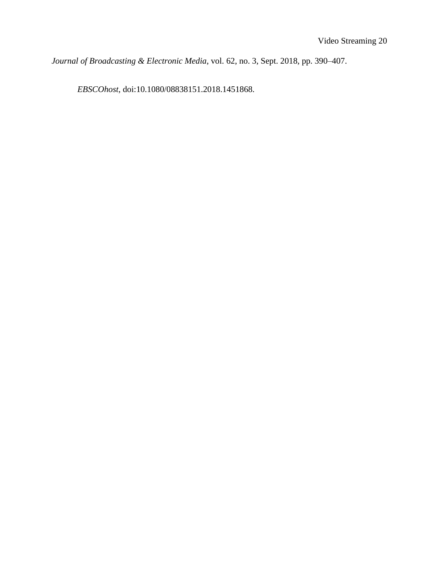*Journal of Broadcasting & Electronic Media*, vol. 62, no. 3, Sept. 2018, pp. 390–407.

*EBSCOhost*, doi:10.1080/08838151.2018.1451868.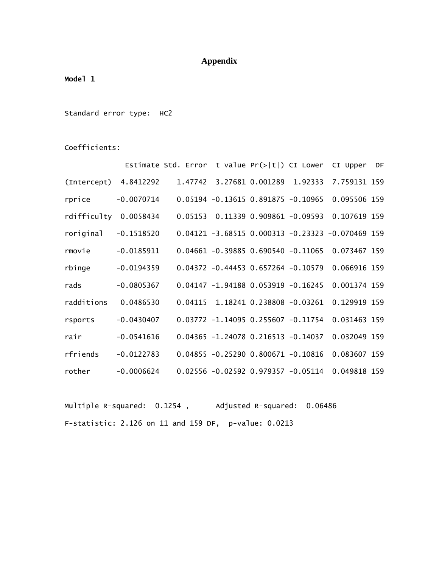## **Appendix**

### Model 1

Standard error type: HC2

Coefficients:

|                        |              | Estimate Std. Error t value $Pr(>  t )$ CI Lower CI Upper DF |                                        |  |                                                       |  |
|------------------------|--------------|--------------------------------------------------------------|----------------------------------------|--|-------------------------------------------------------|--|
| (Intercept) 4.8412292  |              |                                                              |                                        |  | 1.47742 3.27681 0.001289 1.92333 7.759131 159         |  |
| rprice                 | $-0.0070714$ |                                                              | $0.05194 - 0.13615 0.891875 - 0.10965$ |  | 0.095506 159                                          |  |
| rdifficulty 0.0058434  |              |                                                              |                                        |  | 0.05153  0.11339  0.909861  -0.09593  0.107619  159   |  |
| $roriginal -0.1518520$ |              |                                                              |                                        |  | $0.04121 - 3.68515 0.000313 - 0.23323 - 0.070469 159$ |  |
| rmovie                 | $-0.0185911$ |                                                              |                                        |  | 0.04661 -0.39885 0.690540 -0.11065 0.073467 159       |  |
| rbinge                 | $-0.0194359$ |                                                              |                                        |  | 0.04372 -0.44453 0.657264 -0.10579 0.066916 159       |  |
| rads                   | $-0.0805367$ |                                                              |                                        |  | 0.04147 -1.94188 0.053919 -0.16245 0.001374 159       |  |
| radditions             | 0.0486530    |                                                              |                                        |  | 0.04115 1.18241 0.238808 -0.03261 0.129919 159        |  |
| rsports                | $-0.0430407$ |                                                              |                                        |  | 0.03772 -1.14095 0.255607 -0.11754 0.031463 159       |  |
| rair                   | $-0.0541616$ |                                                              |                                        |  | 0.04365 -1.24078 0.216513 -0.14037 0.032049 159       |  |
| rfriends               | $-0.0122783$ |                                                              | $0.04855 - 0.25290 0.800671 - 0.10816$ |  | 0.083607 159                                          |  |
| rother                 | $-0.0006624$ |                                                              |                                        |  | 0.02556 -0.02592 0.979357 -0.05114 0.049818 159       |  |

Multiple R-squared: 0.1254, Adjusted R-squared: 0.06486 F-statistic: 2.126 on 11 and 159 DF, p-value: 0.0213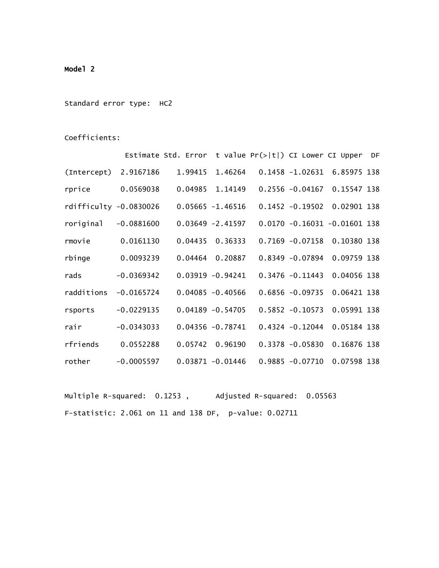### Model 2

Standard error type: HC2

Coefficients:

|                          |              | Estimate Std. Error t value $Pr(> t )$ CI Lower CI Upper DF |                     |                    |                                  |  |
|--------------------------|--------------|-------------------------------------------------------------|---------------------|--------------------|----------------------------------|--|
| (Intercept) 2.9167186    |              | 1.99415                                                     | 1.46264             |                    | 0.1458 -1.02631 6.85975 138      |  |
| rprice                   | 0.0569038    |                                                             | 0.04985 1.14149     |                    | 0.2556 -0.04167 0.15547 138      |  |
| rdifficulty $-0.0830026$ |              |                                                             | $0.05665 - 1.46516$ |                    | 0.1452 -0.19502 0.02901 138      |  |
| roriginal                | $-0.0881600$ |                                                             | $0.03649 - 2.41597$ |                    | $0.0170 - 0.16031 - 0.01601$ 138 |  |
| rmovie                   | 0.0161130    | 0.04435                                                     | 0.36333             | $0.7169 - 0.07158$ | 0.10380 138                      |  |
| rbinge                   | 0.0093239    | 0.04464                                                     | 0.20887             | $0.8349 - 0.07894$ | 0.09759 138                      |  |
| rads                     | $-0.0369342$ |                                                             | $0.03919 - 0.94241$ | $0.3476 - 0.11443$ | 0.04056 138                      |  |
| radditions               | $-0.0165724$ |                                                             | $0.04085 - 0.40566$ | $0.6856 - 0.09735$ | 0.06421 138                      |  |
| rsports                  | $-0.0229135$ |                                                             | $0.04189 - 0.54705$ | $0.5852 - 0.10573$ | 0.05991 138                      |  |
| rair                     | $-0.0343033$ |                                                             | $0.04356 - 0.78741$ | $0.4324 - 0.12044$ | 0.05184 138                      |  |
| rfriends                 | 0.0552288    | 0.05742                                                     | 0.96190             | $0.3378 - 0.05830$ | 0.16876 138                      |  |
| rother                   | $-0.0005597$ | 0.03871 -0.01446                                            |                     | $0.9885 - 0.07710$ | 0.07598 138                      |  |

Multiple R-squared: 0.1253 , Adjusted R-squared: 0.05563 F-statistic: 2.061 on 11 and 138 DF, p-value: 0.02711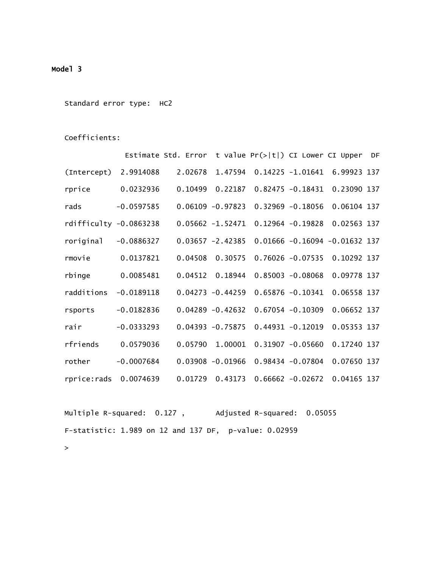### Model 3

Standard error type: HC2

Coefficients:

|                          |              | Estimate Std. Error t value $Pr(> t )$ CI Lower CI Upper |                     |                     |                                   | DF |
|--------------------------|--------------|----------------------------------------------------------|---------------------|---------------------|-----------------------------------|----|
| (Intercept)              | 2.9914088    | 2.02678                                                  | 1.47594             |                     | 0.14225 -1.01641 6.99923 137      |    |
| rprice                   | 0.0232936    | 0.10499                                                  | 0.22187             | $0.82475 - 0.18431$ | 0.23090 137                       |    |
| rads                     | $-0.0597585$ |                                                          | $0.06109 - 0.97823$ | $0.32969 - 0.18056$ | 0.06104 137                       |    |
| $rdifficulty -0.0863238$ |              |                                                          | $0.05662 - 1.52471$ | $0.12964 - 0.19828$ | 0.02563 137                       |    |
| roriginal                | $-0.0886327$ |                                                          | $0.03657 - 2.42385$ |                     | $0.01666 - 0.16094 - 0.01632$ 137 |    |
| rmovie                   | 0.0137821    | 0.04508                                                  | 0.30575             | $0.76026 - 0.07535$ | 0.10292 137                       |    |
| rbinge                   | 0.0085481    | 0.04512                                                  | 0.18944             | $0.85003 - 0.08068$ | 0.09778 137                       |    |
| radditions               | $-0.0189118$ |                                                          | $0.04273 - 0.44259$ | $0.65876 - 0.10341$ | 0.06558 137                       |    |
| rsports                  | $-0.0182836$ |                                                          | $0.04289 - 0.42632$ | $0.67054 - 0.10309$ | 0.06652 137                       |    |
| rair                     | $-0.0333293$ |                                                          | $0.04393 - 0.75875$ | $0.44931 - 0.12019$ | 0.05353 137                       |    |
| rfriends                 | 0.0579036    | 0.05790                                                  | 1.00001             | $0.31907 - 0.05660$ | 0.17240 137                       |    |
| rother                   | $-0.0007684$ |                                                          | $0.03908 - 0.01966$ | $0.98434 - 0.07804$ | 0.07650 137                       |    |
| rprice: rads 0.0074639   |              | 0.01729                                                  | 0.43173             | $0.66662 - 0.02672$ | 0.04165 137                       |    |

Multiple R-squared: 0.127, Adjusted R-squared: 0.05055 F-statistic: 1.989 on 12 and 137 DF, p-value: 0.02959  $\geq$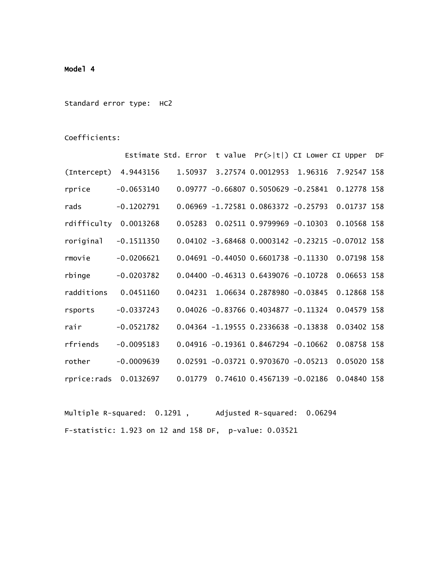### Model 4

Standard error type: HC2

Coefficients:

|                        |              | Estimate Std. Error t value $Pr(> t )$ CI Lower CI Upper DF |                                                       |         |             |  |
|------------------------|--------------|-------------------------------------------------------------|-------------------------------------------------------|---------|-------------|--|
| (Intercept) 4.9443156  |              |                                                             | 1.50937 3.27574 0.0012953                             | 1.96316 | 7.92547 158 |  |
| rprice                 | $-0.0653140$ |                                                             | $0.09777 - 0.66807 0.5050629 - 0.25841$               |         | 0.12778 158 |  |
| rads                   | $-0.1202791$ |                                                             | $0.06969 - 1.72581 0.0863372 - 0.25793$               |         | 0.01737 158 |  |
| rdifficulty 0.0013268  |              |                                                             | $0.05283$ 0.02511 0.9799969 -0.10303                  |         | 0.10568 158 |  |
| $roriginal -0.1511350$ |              |                                                             | $0.04102 - 3.68468 0.0003142 - 0.23215 - 0.07012 158$ |         |             |  |
| rmovie                 | $-0.0206621$ |                                                             | $0.04691 - 0.44050 0.6601738 - 0.11330$               |         | 0.07198 158 |  |
| rbinge                 | $-0.0203782$ |                                                             | $0.04400 - 0.46313 0.6439076 - 0.10728$               |         | 0.06653 158 |  |
| radditions             | 0.0451160    |                                                             | $0.04231$ 1.06634 0.2878980 -0.03845                  |         | 0.12868 158 |  |
| rsports                | $-0.0337243$ |                                                             | $0.04026 - 0.83766 0.4034877 - 0.11324$               |         | 0.04579 158 |  |
| rair                   | $-0.0521782$ |                                                             | $0.04364 - 1.19555 0.2336638 - 0.13838$               |         | 0.03402 158 |  |
| rfriends               | $-0.0095183$ |                                                             | $0.04916 - 0.19361 0.8467294 - 0.10662$               |         | 0.08758 158 |  |
| rother                 | $-0.0009639$ |                                                             | $0.02591 - 0.03721 0.9703670 - 0.05213$               |         | 0.05020 158 |  |
| rprice: rads 0.0132697 |              | 0.01779                                                     | $0.74610$ $0.4567139$ $-0.02186$                      |         | 0.04840 158 |  |

Multiple R-squared: 0.1291, Adjusted R-squared: 0.06294 F-statistic: 1.923 on 12 and 158 DF, p-value: 0.03521